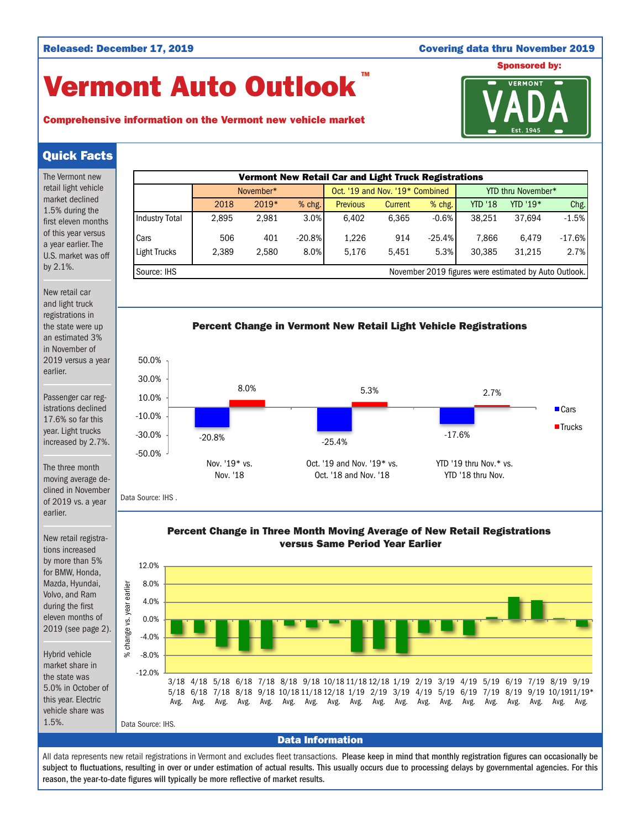## Released: December 17, 2019 Covering data thru November 2019

# Vermont Auto Outlook TM



## Comprehensive information on the Vermont new vehicle market

## Quick Facts

The Vermont new retail light vehicle market declined 1.5% during the first eleven months of this year versus a year earlier. The U.S. market was off by 2.1%.

New retail car and light truck registrations in the state were up an estimated 3% in November of 2019 versus a year earlier.

Passenger car registrations declined 17.6% so far this year. Light trucks increased by 2.7%.

The three month moving average declined in November of 2019 vs. a year earlier.

New retail registrations increased by more than 5% for BMW, Honda, Mazda, Hyundai, Volvo, and Ram during the first eleven months of 2019 (see page 2).

Hybrid vehicle market share in the state was 5.0% in October of this year. Electric vehicle share was 1.5%.







Data Source: IHS .

Percent Change in Three Month Moving Average of New Retail Registrations versus Same Period Year Earlier



All data represents new retail registrations in Vermont and excludes fleet transactions. Please keep in mind that monthly registration figures can occasionally be subject to fluctuations, resulting in over or under estimation of actual results. This usually occurs due to processing delays by governmental agencies. For this reason, the year-to-date figures will typically be more reflective of market results.